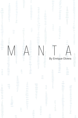| $\circledcirc$<br>$\circledcirc$<br>$\circ$<br>$\begin{picture}(20,20) \put(0,0){\line(1,0){10}} \put(15,0){\line(1,0){10}} \put(15,0){\line(1,0){10}} \put(15,0){\line(1,0){10}} \put(15,0){\line(1,0){10}} \put(15,0){\line(1,0){10}} \put(15,0){\line(1,0){10}} \put(15,0){\line(1,0){10}} \put(15,0){\line(1,0){10}} \put(15,0){\line(1,0){10}} \put(15,0){\line(1,0){10}} \put(15,0){\line(1$<br>$\leftarrow$<br>$\bullet$<br>$\qquad \qquad \Longleftrightarrow$<br>$\begin{picture}(20,20) \put(0,0){\line(1,0){0.5}} \put(15,0){\line(1,0){0.5}} \put(15,0){\line(1,0){0.5}} \put(15,0){\line(1,0){0.5}} \put(15,0){\line(1,0){0.5}} \put(15,0){\line(1,0){0.5}} \put(15,0){\line(1,0){0.5}} \put(15,0){\line(1,0){0.5}} \put(15,0){\line(1,0){0.5}} \put(15,0){\line(1,0){0.5}} \put(15,0){\line(1,0){0.5}} \$<br>$\langle \rangle$<br>$\langle \rangle$<br>$\circ$<br><b>Service</b><br>600<br><b>MAND</b> | <b>SOP</b><br>Ŵ<br>$\mathcal{L}_{\mathcal{D}}$<br>$\odot$<br>$\oplus$<br>$\mathbb{G}\mathbb{D}$<br>$\frac{1}{2}$<br>$\sim$<br>أأأأت<br>$\overline{\mathcal{L}}$<br>$\alpha$<br>÷<br>$\mathcal{O}_\mathcal{O}$<br><b>SI</b><br><b>SEC</b>                                                                                                                                                                                                                                                                                                                                                                                                                  | 2<br>المراكب<br>3<br>0.00<br>$\bar{\gamma}$<br>Ŵ<br>3<br>$\langle \rangle$                                                                                                                                                                                                                                                  |
|----------------------------------------------------------------------------------------------------------------------------------------------------------------------------------------------------------------------------------------------------------------------------------------------------------------------------------------------------------------------------------------------------------------------------------------------------------------------------------------------------------------------------------------------------------------------------------------------------------------------------------------------------------------------------------------------------------------------------------------------------------------------------------------------------------------------------------------------------------------------------------------------------------------------|-----------------------------------------------------------------------------------------------------------------------------------------------------------------------------------------------------------------------------------------------------------------------------------------------------------------------------------------------------------------------------------------------------------------------------------------------------------------------------------------------------------------------------------------------------------------------------------------------------------------------------------------------------------|-----------------------------------------------------------------------------------------------------------------------------------------------------------------------------------------------------------------------------------------------------------------------------------------------------------------------------|
| $\frac{1}{2}$<br>Alba<br><b>PERSONAL</b><br>$\mathcal{C}(\mathbb{R}^n)$<br><b>CO</b><br><b>CERN</b><br>متكري<br>$\label{eq:2} \mathcal{L}_{\text{eff}}^{\text{2D}}(\mathcal{L}_{\text{eff}}^{\text{2D}})$<br>f(x)<br>۰<br>$\Omega_{\rm 2D_2}$<br>$\alpha_{0}$<br>6<br>P<br>$\mathcal{O}$<br><b>CP</b><br>$\mathcal{L}(\mathbb{R}^d)$<br>$\Longleftrightarrow$<br>đ<br><b>SEP</b><br>$\circledcirc$<br>10000                                                                                                                                                                                                                                                                                                                                                                                                                                                                                                          | ta)<br>Ϙ<br><b>CO</b><br>ø<br>lb)<br>¢<br>èD<br>ò<br><b>CD</b><br>$\mathbb{S}^2$<br>Ta<br>۰<br>Q.<br>q.<br><b>Card</b><br><b>Card</b><br>۰<br>$\Leftrightarrow$<br>93<br>$\sigma_{\rm 00}$<br>bij,<br>$\Leftrightarrow$<br>$\mathbb{Q}_2$<br>$\frac{1}{2}$<br>$\mathcal{L}(\mathbb{R})$<br>$\langle \rangle$<br>œ<br>œ<br>$\langle \rangle$<br>45<br>$\langle \rangle$<br>æ<br><b>CD</b><br>$C_{\rm 2D}$                                                                                                                                                                                                                                                  | S<br>S<br>ø<br>$\bigoplus$<br><b>CED</b><br>$\bigcirc$<br><b>GED</b><br>Ô.<br>¢<br>œ<br>Ø<br>$Q\bar{Q}$<br>ø<br>V<br>$\circledcirc$<br>$\frac{1}{2}$<br>3<br><b>CD</b>                                                                                                                                                      |
| ß.<br>$\mathbb{S}^n$<br><b>U</b><br>u,<br><b>Sin</b><br>40<br><b>Alley</b><br><b>Card</b><br><b>Company</b><br>دي<br><b>Co</b><br>Ţ.<br>$\Omega$<br>AD.<br>$\circledcirc$<br>$\partial\mathbb{P}$<br>T<br>6H)<br>Æ                                                                                                                                                                                                                                                                                                                                                                                                                                                                                                                                                                                                                                                                                                   | din<br>40<br>ŵ<br>œ<br><b>CD</b><br>œ<br>G)<br>Ø.<br>$\circ$<br>$\bigcirc$<br>$\circ$<br>$\qquad \qquad \Longleftrightarrow$<br><b>CD</b><br>$\circledcirc$<br>$\epsilon$<br>$\oplus$<br>$\left( \frac{1}{2} \right)$<br>$\circ$<br>$\Longleftrightarrow$<br><b>City</b><br>an n<br><b>COLOR</b><br>SB.<br>٩b.<br>P<br>$\mathcal{C}_{\mathrm{lin}}$<br>$\sim$<br>dh,<br>$\phi$<br>D<br>$\langle \rangle$<br>dip.<br>$\Rightarrow$<br>6Ď<br>$\textcircled{\scriptsize{1}}$<br>$\Box$<br>$\qquad \qquad \Longleftrightarrow$<br><b>CO</b><br>T<br>œ<br>$\qquad \qquad \Longleftrightarrow$<br>$\langle \phi   \phi \rangle$<br>$\left( \frac{1}{2} \right)$ | ī<br>¢<br><b>City</b><br>$q_{\text{in}}$<br>90<br>$\oplus$<br>$\circledcirc$<br>$\mathbb{Q}_2$<br>Ŵ<br>$\langle \rangle$<br>Œ<br>$\circledcirc$<br>$\bigcirc$<br>$\triangleleft$<br>œ<br>w<br>۰<br>GD.<br>(lib)                                                                                                             |
| $\bigcirc$<br>۰<br>$Q\bar{Q}$<br>¢<br>T<br>$\Rightarrow$<br>$\bigcirc$<br>$\circledcirc$<br>$\bullet$<br>$\textcircled{\scriptsize{1}}$<br>÷<br>$\Rightarrow$<br>$\mathbb{C}$<br>$\langle \rangle$<br>$\mathbb{Q}_{\mathbb{D}}$<br>Œ<br>$\odot$<br>$\langle \rangle$<br>œ<br>$\triangleleft$<br>$\circledcirc$<br>$\mathbb{Q}$<br><(p)<br>$\circledcirc$<br>ø<br>$\langle \rangle$<br>$\circ$<br>$\mathcal{C}^{\mathcal{A}}$<br>$\bullet$<br>$\circledcirc$<br>Œ<br>$\bigcirc$<br>$\blacksquare$<br><b>CITS</b>                                                                                                                                                                                                                                                                                                                                                                                                      | S<br>$\eta_0$<br>2<br>$\mathbb Q$<br>40<br>Ń<br>đĐ)<br>933<br>Š<br>$\langle \alpha \rangle$<br>وذهب<br>D<br><b>Santa</b><br>$\overline{\partial}$<br><b>SILL</b><br><b>Silip</b><br>$\phi$<br>$\left( \frac{1}{2} \right)$<br>0<br><b>CE</b><br>in)<br>€<br><b>CID</b><br>$\bigcirc$<br><b>CO</b><br>$\overline{\phantom{a}}$<br><b>COM</b><br><b>City</b><br><b>CO</b><br><b>CO</b><br>6n<br><b>Silver</b><br><b>City</b><br><b>Silver</b><br>$\mathbb{Q}_2$<br>(ill)<br>$\heartsuit$<br>Đ<br>$\mathbb{Q}_2$<br><b>GR</b><br>$\sqrt{2}$<br>$\mathcal{L}_{\text{max}}$                                                                                    | Gb<br>$\langle \rangle$<br>۰<br>$\bigcirc$<br>$\circ$<br>$\oplus$<br>$\otimes$<br>$\tilde{\mathcal{L}}$<br>O)<br>$\bigcirc$<br>$\lll$<br>O<br>-97<br>O<br><b>Sales</b><br>O)<br>٩ŋ<br>$\circledcirc$<br><b>Sing</b><br>Ø<br><b>STATISTICS</b><br>$\circledcirc$<br><b>Sing</b><br>$\mathbb{Q}$<br>$\mathbb{Q}_{\mathbb{Q}}$ |
| $\mathcal{L}_{\text{in}}$<br>$\mathcal{L}_{\text{min}}$<br>$\mathcal{L}_{\text{eff}}$<br>$\Leftrightarrow$<br>$\qquad \qquad \Longleftrightarrow$<br>÷<br>$\frac{6}{9}$<br><b>GD</b><br>۰<br>$\circ$<br>$\circledcirc$<br>$\circledcirc$<br>Œ<br>$\bigcirc$<br><b>City</b><br><b>SEP</b>                                                                                                                                                                                                                                                                                                                                                                                                                                                                                                                                                                                                                             | <b>KO</b><br>v<br>Þ<br>V.D<br><b>Sip</b><br>œ<br>3<br>d.<br>$\bullet$<br>$\triangle$<br>$\mathbb{Q}_{\geqslant 0}$<br>$\Longleftrightarrow$<br>$\langle \rangle$<br>$\leftarrow$<br>Œ<br>$\mathcal{O}_{\mathcal{D}}$<br>$\langle \rangle$<br>$\mathcal{L}_{\text{min}}$                                                                                                                                                                                                                                                                                                                                                                                   | $\bigcirc$<br>$\qquad \qquad \qquad \qquad$<br>$\mathbb{Q}_2$<br>Ŵ.<br>$\circ$<br>¢<br>$\odot$<br><b>Op</b><br>$\Leftrightarrow$<br>G)                                                                                                                                                                                      |
| $\subset$<br>$\Rightarrow$<br>$\leq$<br>P<br>Œ<br><b>SHOP</b><br>œ.<br><b>CO</b><br>$\langle \rangle$<br>$\langle \rangle$<br>$\mathbb{Q}$<br>$\mathcal{O}$<br>S<br>$\triangle$<br>$\triangle$<br><b>Gla</b><br>$\mathcal{O}^{\otimes 2}$<br>æ<br>$_{\rm 60}$<br><b>CO</b><br>P<br>$\bigcirc$<br>$\langle \rangle$<br>$\langle \cdot   \cdot \rangle$<br>$\langle \rangle$<br><b>GB</b><br>Ô<br>÷<br>$\epsilon$ in<br>$\mathcal{L}$<br>$\otimes$<br>$\oplus$<br>e.<br>$\begin{array}{c} 0 \\ 0 \end{array}$<br>$\qquad \qquad \oplus$<br>$\oplus$<br>$\oplus$<br>$\bullet$<br>$\mathcal{Q}_{\mathrm{D}}$<br>$\mathcal{C}\mathcal{D}$<br>$\hat{\theta}$<br>Ø<br>¢<br><b>State</b>                                                                                                                                                                                                                                     | œ<br><b>SIA</b><br>$\begin{picture}(20,20) \put(0,0){\line(1,0){0.5}} \put(0,0){\line(1,0){0.5}} \put(0,0){\line(1,0){0.5}} \put(0,0){\line(1,0){0.5}} \put(0,0){\line(1,0){0.5}} \put(0,0){\line(1,0){0.5}} \put(0,0){\line(1,0){0.5}} \put(0,0){\line(1,0){0.5}} \put(0,0){\line(1,0){0.5}} \put(0,0){\line(1,0){0.5}} \put(0,0){\line(1,0){0.5}} \put(0,0){\line(1$<br>$\oplus$<br>$\circ$<br>œ<br><b>GB</b><br>8<br>By Enrique Olvera<br>$\odot$<br>$\odot$<br><b>CONTRACT</b>                                                                                                                                                                        | P<br>ś<br><b>OSCO</b><br>$\blacksquare$<br>$\langle \hat{u} \rangle$<br>Q<br>3<br><b>CO</b><br>3<br>$\circ$<br>gin<br>ø<br>ø<br>È<br>$\circ$                                                                                                                                                                                |
| <b>CP</b><br>$\circledcirc$                                                                                                                                                                                                                                                                                                                                                                                                                                                                                                                                                                                                                                                                                                                                                                                                                                                                                          | ÀÞ<br>æ<br>œ<br>$\textcircled{\scriptsize{5}}$<br>Ab-<br>qp<br>$\left($<br>$\bigcirc$<br>43<br>$\odot$<br><b>SOL</b><br>$\ddot{\phantom{0}}$<br>$\frac{3}{2}$                                                                                                                                                                                                                                                                                                                                                                                                                                                                                             | œ<br>$\bigcirc$<br>ø<br>۰<br>Œb<br>ĢD<br>$\bullet$<br>$\oplus$<br>6D<br>$C^p$<br>œ<br>GB)<br>œ<br>O)<br>áb.                                                                                                                                                                                                                 |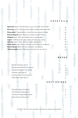**Go** 

**Since** 

**Gilb** 

**Girls**  $\Rightarrow$ œ.

**Aguacate** *165ml* /Tequila blanco, yuzu, avocado, chamomille. **Maracuyá** *130ml* /Mezcal, passion fruit, orange, habanero bitter **Pitaya 90ml**/Tequila blanco, creme de casis, pitaya, honney **Mezcal Negroni** *90ml* /Mezcal, Campari, carpano antica **Chiltepín** *95ml* /Mezcal, chiltepín, lime, miel de agave **Purple** ヘイズ 65ml /Gin, sake, white vermouth, yuzu, herbs **Chilcano** *135ml* /Pisco, damiana liquor, ginger, lime, **Manta Spritz** 145ml/Pisco, damiana, vermouth blanc, prosseco **Martini Gibson** 85ml/Gin, dry vermouth, rice infused **Manta Carajillo** *130ml* /Espresso, mezcal, Licor 43, averna

Baja Brewing Ipa *355 ml* Baja Brewing Blonde Ale *355 ml* Baja Brewing black ale *355 ml* Colimita Lager *355 ml*  Colimita Piedra Lisa Ipa *355 ml* Haiku Rice Lager *355 ml*

Sodaraíz Ginger Ale *355ml* Old Milwauke Malta *355 ml* Fentiman's Ginger Beer *200ml* Agua fresca del día *470ml* 7

**C O C K T A I L S**

 $\mathbf{Q}$ 

16 15

15

16

16

15 16 16

q

15

14

**B E E R S**

9 7 6

**S O F T D R I N K S**

Ġ,

Œ,

Prices in USD. 16% tax included. 15% service charge not included.

÷. Ŵ,

嘛

G)

œ,

**Gira** ÷.

SS.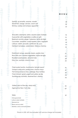Sashimi, ají amarillo, sesame, wasabi Sliced fish, orange, serrano, worm salt Shrimp, scallop and octopus aguachile

Brocollini, edamame, tahini, sesame seed, furikake Guacachile with vegetables crudites or grill Beetroot ceviche, ginger, habanero, leche de tigre Cucumber, seaweed, cured nopales, mirin, togarashi Lettuce, radish, avocado, sunflower oil, yuzu Heirloom tomatoes, watermelon, hibiscus chamoy

Mushroom ramen, epazote, beans, pasilla mixe Rice with corn, roasted vegetables, leche de tigre Roasted sweet potato, almond mole Dirty rice, zuchinni, chorizo mayo

Fried oyster burrito, mushrooms, teriyaki sauce Octopus anticucho, pasilla mixe, chorizo mayo Fish tempura tacos,miso, cabbage, flour tortillas Fried chicken, greek yogurt and yellow aji dip Suckling pig cochinita, steamed bun, cilantro,

Grilled catch of the day, árbol miso Aged prime New York strip

## Sides

*Herb guacamole Lettuce salad, furikake Steamed rice Beans and soy salad Shishitos, onions and bonito flakes*

Prices in USD. 16% tax included. 15% service charge not included.

**M E N U**

32 19 33

14

21 20 28

20

30 29 29

41 21

45 56

16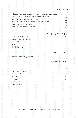**D E S S E R T S** 15 15 15 15 15 Chocolate sponge cake, peanut ice cream, tamarind, cocoa cracker Tres leches cake, black cherry ice cream, vanilla cream Rompope cream tart, matcha ice cream, kiwi Sticky rice, papaya brulee, mango sorbet, mint, coconut. Sweet corn ice cream mochi Seasonal sorbets and ice creams <sup>9</sup> **P A D M A U M T E A**  6 6 6 6 Oolong / Mint Kwan Yin Green / Mgyokuro Matcha White / Silver Needle Masala Chai Smoky Earl Grey 6 **C O F F E E L A B** Chiapas Lavado freshly toasted 6 **AÑEJO-EXTRA AÑEJO** Casa dragones joven Casa dragones añejo Herradura seleccion suprema Don julio 1942 Rey sol Clase azul ultra Patron burdeos 47 28 35 21 45 200 80

Prices in USD. 16% tax included. 15% service charge not included.